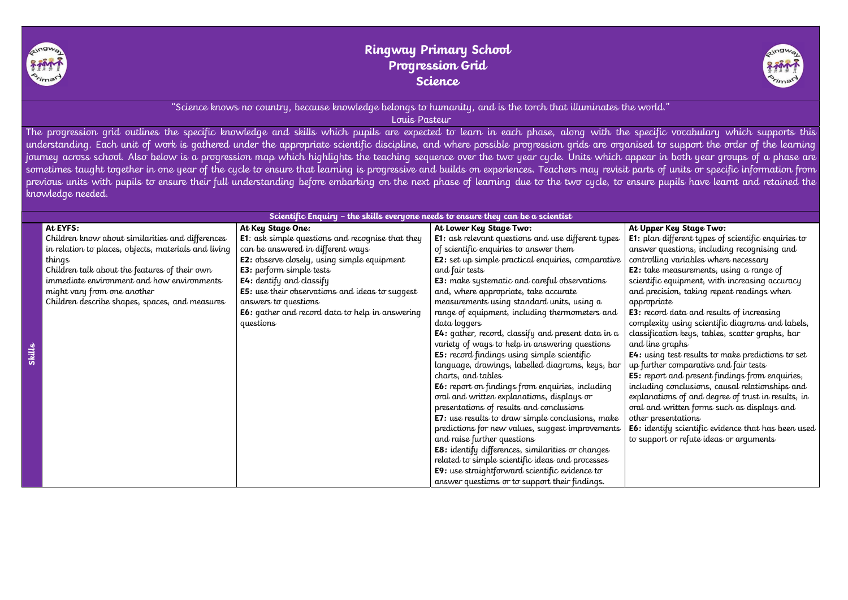"Science knows no country, because knowledge belongs to humanity, and is the torch that illuminates the world." Louis Pasteur

The progression grid outlines the specific knowledge and skills which pupils are expected to learn in each phase, along with the specific vocabulary which supports this understanding. Each unit of work is gathered under the appropriate scientific discipline, and where possible progression grids are organised to support the order of the learning journey across school. Also below is a progression map which highlights the teaching sequence over the two year cycle. Units which appear in both year groups of a phase are sometimes taught together in one year of the cycle to ensure that learning is progressive and builds on experiences. Teachers may revisit parts of units or specific information from previous units with pupils to ensure their full understanding before embarking on the next phase of learning due to the two cycle, to ensure pupils have learnt and retained the knowledge needed.

> : take measurements, using a range of ientific equipment, with increasing accuracy d precision, taking repeat readings when appropriate

record data and results of increasing complexity using scientific diagrams and labels, issification keys, tables, scatter graphs, bar d line graphs

 $\cdot$ : using test results to make predictions to set further comparative and fair tests

: report and present findings from enquiries, including conclusions, causal relationships and planations of and degree of trust in results, in al and written forms such as displays and her presentations

: identify scientific evidence that has been used support or refute ideas or arguments

| Scientific Enquiry - the skills everyone needs to ensure they can be a scientist |                                                      |                                                          |                                                                  |                    |  |  |
|----------------------------------------------------------------------------------|------------------------------------------------------|----------------------------------------------------------|------------------------------------------------------------------|--------------------|--|--|
|                                                                                  | At EYFS:                                             | At Key Stage One:                                        | At Lower Key Stage Two:                                          | At                 |  |  |
|                                                                                  | Children know about similarities and differences     | <b>E1</b> : ask simple questions and recognise that they | <b>E1:</b> ask relevant questions and use different types        | E1:                |  |  |
|                                                                                  | in relation to places, objects, materials and living | can be answered in different ways                        | of scientific enquiries to answer them                           | an                 |  |  |
|                                                                                  | things                                               | <b>E2:</b> observe closely, using simple equipment       | <b>E2</b> : set up simple practical enquiries, comparative       | Cσ                 |  |  |
|                                                                                  | Children talk about the features of their own        | <b>E3</b> : perform simple tests                         | and fair tests                                                   | E2                 |  |  |
|                                                                                  | immediate environment and how environments           | <b>E4:</b> dentify and classify                          | <b>E3</b> : make systematic and careful observations             | sci                |  |  |
|                                                                                  | might vary from one another                          | <b>E5:</b> use their observations and ideas to suggest   | and, where appropriate, take accurate                            | an                 |  |  |
|                                                                                  | Children describe shapes, spaces, and measures       | answers to questions                                     | measurements using standard units, using a                       | ap                 |  |  |
|                                                                                  |                                                      | <b>E6:</b> gather and record data to help in answering   | range of equipment, including thermometers and                   | E3:                |  |  |
|                                                                                  |                                                      | questions                                                | data loggers                                                     | $\mathsf{C}\sigma$ |  |  |
|                                                                                  |                                                      |                                                          | <b>E4:</b> gather, record, classify and present data in $\alpha$ | cla                |  |  |
|                                                                                  |                                                      |                                                          | variety of ways to help in answering questions                   | an                 |  |  |
| عللنها                                                                           |                                                      |                                                          | <b>E5:</b> record findings using simple scientific               | E4                 |  |  |
|                                                                                  |                                                      |                                                          | language, drawings, labelled diagrams, keys, bar                 | up                 |  |  |
|                                                                                  |                                                      |                                                          | charts, and tables                                               | E <sub>5</sub>     |  |  |
|                                                                                  |                                                      |                                                          | <b>E6:</b> report on findings from enquiries, including          | inc                |  |  |
|                                                                                  |                                                      |                                                          | oral and written explanations, displays or                       | exp                |  |  |
|                                                                                  |                                                      |                                                          | presentations of results and conclusions                         | orc                |  |  |
|                                                                                  |                                                      |                                                          | <b>E7:</b> use results to draw simple conclusions, make          | oth                |  |  |
|                                                                                  |                                                      |                                                          | predictions for new values, suggest improvements                 | E <sub>6</sub>     |  |  |
|                                                                                  |                                                      |                                                          | and raise further questions                                      | $t\sigma$          |  |  |
|                                                                                  |                                                      |                                                          | E8: identify differences, similarities or changes                |                    |  |  |
|                                                                                  |                                                      |                                                          | related to simple scientific ideas and processes                 |                    |  |  |
|                                                                                  |                                                      |                                                          | E9: use straightforward scientific evidence to                   |                    |  |  |
|                                                                                  |                                                      |                                                          | answer questions or to support their findings.                   |                    |  |  |



## Upper Key Stage Two:

plan different types of scientific enquiries to swer questions, including recognising and ntrolling variables where necessary



# Ringway Primary School Progression Grid Science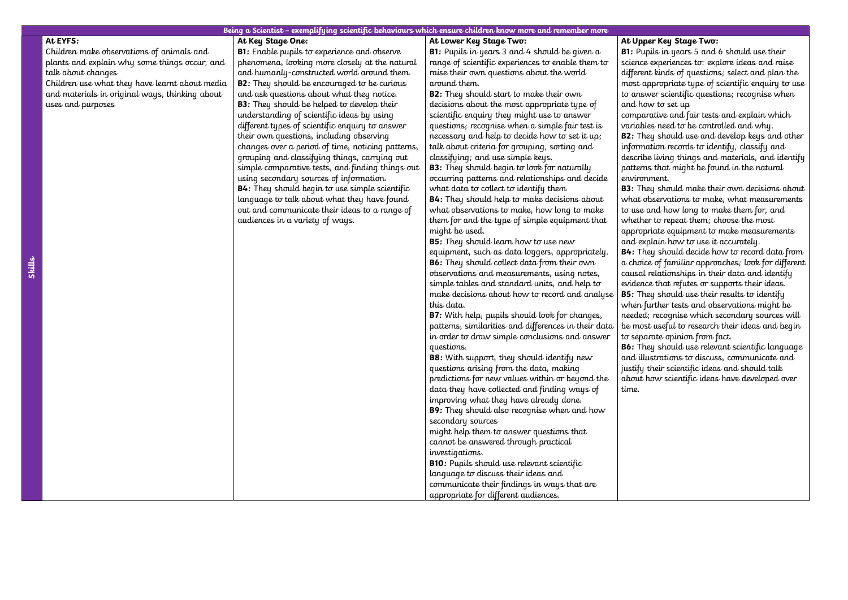### Being a Scientist – exemplifying scientific behaviours which ensure children know more and remember more

### At EYFS:

Children make observations of animals and plants and explain why some things occur, and talk about changes

Children use what they have learnt about media and materials in original ways, thinking about uses and purposes

At Key Stage One:

**B1:** Enable pupils to experience and observe phenomena, looking more closely at the natural and humanly-constructed world around them. **B2:** They should be encouraged to be curious and ask questions about what they notice. **B3:** They should be helped to develop their understanding of scientific ideas by using different types of scientific enquiry to answer their own questions, including observing changes over a period of time, noticing patterns, grouping and classifying things, carrying out simple comparative tests, and finding things out using secondary sources of information. B4: They should begin to use simple scientific language to talk about what they have found out and communicate their ideas to a range of audiences in a variety of ways.

**B2:** They should start to make their own decisions about the most appropriate type of scientific enquiry they might use to answer questions; recognise when a simple fair test is necessary and help to decide how to set it up; talk about criteria for grouping, sorting and classifying; and use simple keys.

**B3:** They should begin to look for naturally occurring patterns and relationships and decide what data to collect to identify them

**B5:** They should learn how to use new equipment, such as data loggers, appropriately. B6: They should collect data from their own observations and measurements, using notes, simple tables and standard units, and help to make decisions about how to record and analyse this data.

At Lower Key Stage Two:

B1: Pupils in years 3 and 4 should be given a range of scientific experiences to enable them to raise their own questions about the world around them.

B4: They should help to make decisions about what observations to make, how long to make them for and the type of simple equipment that might be used.

B7: With help, pupils should look for changes, patterns, similarities and differences in their data in order to draw simple conclusions and answer questions.

B8: With support, they should identify new questions arising from the data, making predictions for new values within or beyond the data they have collected and finding ways of improving what they have already done. B9: They should also recognise when and how secondary sources

might help them to answer questions that cannot be answered through practical investigations.

B10: Pupils should use relevant scientific language to discuss their ideas and communicate their findings in ways that are appropriate for different audiences.

### At Upper Key Stage Two:

B1: Pupils in years 5 and 6 should use their science experiences to: explore ideas and raise different kinds of questions; select and plan the most appropriate type of scientific enquiry to use to answer scientific questions; recognise when and how to set up

comparative and fair tests and explain which variables need to be controlled and why.

B2: They should use and develop keys and other information records to identify, classify and describe living things and materials, and identify

patterns that might be found in the natural environment.

B3: They should make their own decisions about what observations to make, what measurements to use and how long to make them for, and whether to repeat them; choose the most appropriate equipment to make measurements

and explain how to use it accurately.

B4: They should decide how to record data from a choice of familiar approaches; look for different causal relationships in their data and identify evidence that refutes or supports their ideas. B5: They should use their results to identify when further tests and observations might be needed; recognise which secondary sources will

be most useful to research their ideas and begin to separate opinion from fact.

B6: They should use relevant scientific language and illustrations to discuss, communicate and justify their scientific ideas and should talk about how scientific ideas have developed over

time.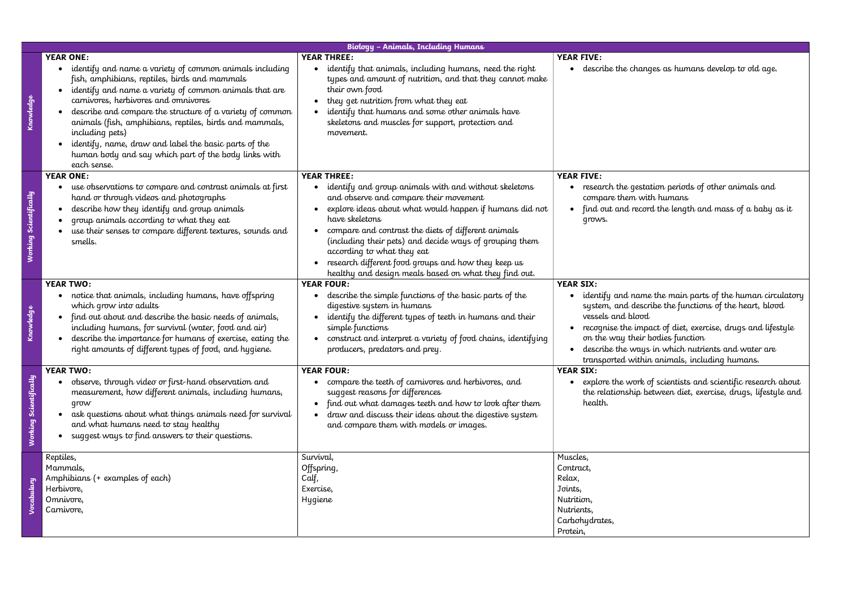|                        |                                                                                                                                                                                                                                                                                                                                                                                                                                                                                                           | <b>Biology - Animals, Including Humans</b>                                                                                                                                                                                                                                                                                                                                                                                                                         |                                                                                                                                                                   |
|------------------------|-----------------------------------------------------------------------------------------------------------------------------------------------------------------------------------------------------------------------------------------------------------------------------------------------------------------------------------------------------------------------------------------------------------------------------------------------------------------------------------------------------------|--------------------------------------------------------------------------------------------------------------------------------------------------------------------------------------------------------------------------------------------------------------------------------------------------------------------------------------------------------------------------------------------------------------------------------------------------------------------|-------------------------------------------------------------------------------------------------------------------------------------------------------------------|
| <u>Knowledge</u>       | <b>YEAR ONE:</b><br>identify and name a variety of common animals including<br>fish, amphibians, reptiles, birds and mammals<br>identify and name a variety of common animals that are<br>carnivores, herbivores and omnivores<br>describe and compare the structure of a variety of common<br>animals (fish, amphibians, reptiles, birds and mammals,<br>including pets)<br>identify, name, draw and label the basic parts of the<br>human body and say which part of the body links with<br>each sense. | <b>YEAR THREE:</b><br>identify that animals, including humans, need the right<br>types and amount of nutrition, and that they cannot make<br>their own food<br>they get nutrition from what they eat<br>identify that humans and some other animals have<br>skeletons and muscles for support, protection and<br>movement.                                                                                                                                         | <b>YEAR FIVE:</b><br>describe the ch                                                                                                                              |
| Working Scientifically | <b>YEAR ONE:</b><br>use observations to compare and contrast animals at first<br>hand or through videos and photographs<br>describe how they identify and group animals<br>group animals according to what they eat<br>use their senses to compare different textures, sounds and<br>smells.                                                                                                                                                                                                              | <b>YEAR THREE:</b><br>identify and group animals with and without skeletons<br>and observe and compare their movement<br>explore ideas about what would happen if humans did not<br>have skeletons<br>compare and contrast the diets of different animals<br>(including their pets) and decide ways of grouping them<br>according to what they eat<br>research different food groups and how they keep us<br>healthy and design meals based on what they find out. | <b>YEAR FIVE:</b><br>research the ge<br>compare them<br>find out and re<br>grows.                                                                                 |
| Knowledge              | <b>YEAR TWO:</b><br>notice that animals, including humans, have offspring<br>which grow into adults<br>find out about and describe the basic needs of animals,<br>including humans, for survival (water, food and air)<br>describe the importance for humans of exercise, eating the<br>right amounts of different types of food, and hygiene.                                                                                                                                                            | <b>YEAR FOUR:</b><br>describe the simple functions of the basic parts of the<br>digestive system in humans<br>identify the different types of teeth in humans and their<br>simple functions<br>construct and interpret a variety of food chains, identifying<br>producers, predators and prey.                                                                                                                                                                     | <b>YEAR SIX:</b><br>identify and no<br>system, and de<br>vessels and blo<br>recognise the in<br>$\bullet$<br>on the way the<br>describe the wo<br>transported wil |
| Working Scientifically | <b>YEAR TWO:</b><br>observe, through video or first-hand observation and<br>measurement, how different animals, including humans,<br>grow<br>ask questions about what things animals need for survival<br>and what humans need to stay healthy<br>suggest ways to find answers to their questions.                                                                                                                                                                                                        | <b>YEAR FOUR:</b><br>compare the teeth of carnivores and herbivores, and<br>suggest reasons for differences<br>find out what damages teeth and how to look after them<br>draw and discuss their ideas about the digestive system<br>and compare them with models or images.                                                                                                                                                                                        | <b>YEAR SIX:</b><br>explore the wor<br>the relationship<br>health.                                                                                                |
| Vocabulary             | Reptiles,<br>Mammals,<br>Amphibians (+ examples of each)<br>Herbivore,<br>Omnivore,<br>Carnivore,                                                                                                                                                                                                                                                                                                                                                                                                         | Survival,<br>Offspring,<br>Calf,<br>Exercise,<br><b>Hygiene</b>                                                                                                                                                                                                                                                                                                                                                                                                    | Muscles,<br>Contract,<br>Relax,<br>Joints,<br>Nutrition,<br>Nutrients,<br>Carbohydrates,<br>Protein,                                                              |

ranges as humans develop to old age.

estation periods of other animals and with humans ecord the length and mass of a baby as it

ame the main parts of the human circulatory escribe the functions of the heart, blood  $\overline{\mathrm{vcd}}$ 

mpact of diet, exercise, drugs and lifestyle eir bodies function

ays in which nutrients and water are thin animals, including humans.

 $\tau$ k of scientists and scientific research about  ${\mathfrak p}$  between diet, exercise, drugs, lifestyle and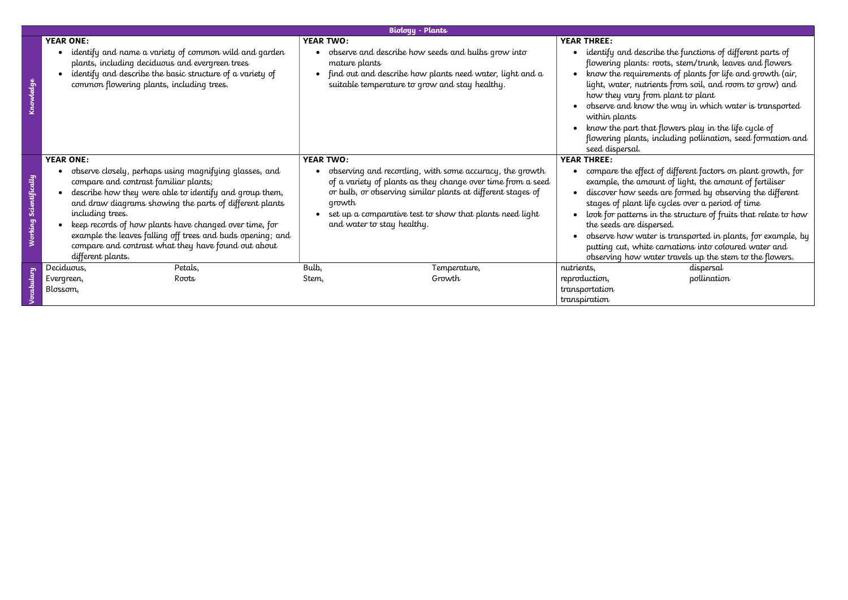|                                  |                                                                                                                                                                                                                                                                                                                                                                                                                                                                   |                                   | <b>Biology - Plants</b>                                                                                                                                                                                                                                                         |                                                                                                                                                                                                                          |
|----------------------------------|-------------------------------------------------------------------------------------------------------------------------------------------------------------------------------------------------------------------------------------------------------------------------------------------------------------------------------------------------------------------------------------------------------------------------------------------------------------------|-----------------------------------|---------------------------------------------------------------------------------------------------------------------------------------------------------------------------------------------------------------------------------------------------------------------------------|--------------------------------------------------------------------------------------------------------------------------------------------------------------------------------------------------------------------------|
|                                  | <b>YEAR ONE:</b><br>identify and name a variety of common wild and garden<br>plants, including deciduous and evergreen trees<br>identify and describe the basic structure of a variety of<br>common flowering plants, including trees.                                                                                                                                                                                                                            | <b>YEAR TWO:</b><br>mature plants | observe and describe how seeds and bulbs grow into<br>find out and describe how plants need water, light and a<br>suitable temperature to grow and stay healthy.                                                                                                                | <b>YEAR THREE:</b><br>identify and de<br>$\bullet$<br>flowering plant<br>know the requi<br>light, water, ni<br>how they vary<br>observe and kn<br>within plants<br>know the part t<br>flowering plant<br>seed dispersal. |
| Scientifically<br><u>Norking</u> | <b>YEAR ONE:</b><br>observe closely, perhaps using magnifying glasses, and<br>compare and contrast familiar plants;<br>describe how they were able to identify and group them,<br>and draw diagrams showing the parts of different plants<br>including trees.<br>keep records of how plants have changed over time, for<br>example the leaves falling off trees and buds opening; and<br>compare and contrast what they have found out about<br>different plants. | <b>YEAR TWO:</b><br>growth        | observing and recording, with some accuracy, the growth<br>of a variety of plants as they change over time from a seed<br>or bulb, or observing similar plants at different stages of<br>set up a comparative test to show that plants need light<br>and water to stay healthy. | <b>YEAR THREE:</b><br>compare the eff<br>example, the ar<br>discover how so<br>stages of plant<br>look for pattern<br>the seeds are d<br>observe how w<br>$\bullet$<br>putting cut, wh<br>observing how                  |
|                                  | Deciduous,<br>Petals,<br>Evergreen,<br>Roots<br>Blossom,                                                                                                                                                                                                                                                                                                                                                                                                          | Bulb,<br>Stem,                    | Temperature,<br>Growth                                                                                                                                                                                                                                                          | nutrients,<br>reproduction,<br>transportation<br>transpiration                                                                                                                                                           |

lescribe the functions of different parts of rts: roots, stem/trunk, leaves and flowers irements of plants for life and growth (air, utrients from soil, and room to grow) and from plant to plant now the way in which water is transported , that flowers play in the life cycle of ts, including pollination, seed formation and effect of different factors on plant growth, for  $\stackrel{\text{\scriptsize{a}}}{\text{\scriptsize{a}}}$  mount of fertiliser seeds are formed by observing the different stages of plant life cycles over a period of time ms in the structure of fruits that relate to how tispersed. water is transported in plants, for example, by hite carnations into coloured water and r water travels up the stem to the flowers. dispersal pollination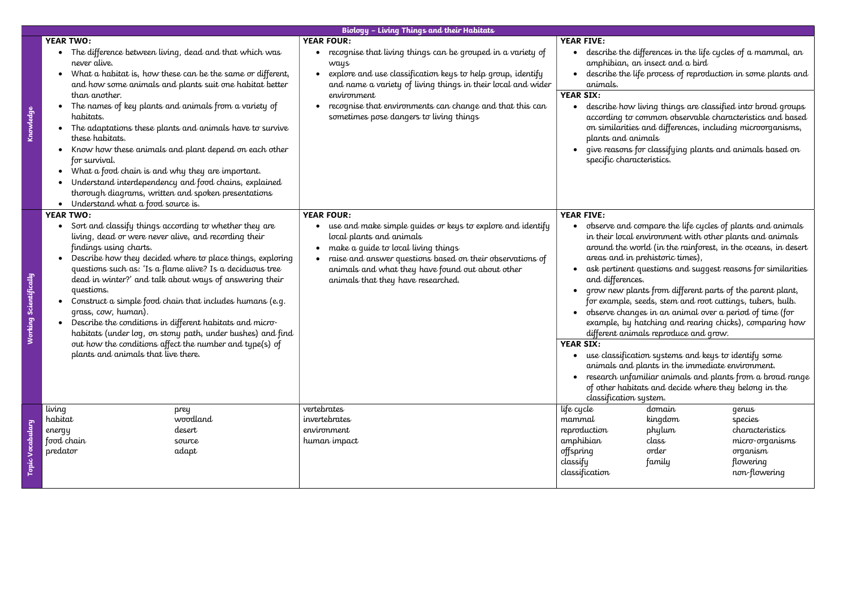|                        |                                                                                                                                                                                                                                                                                                                                                                                                                                                                                                                                                                                                                                                                                  | <b>Biology - Living Things and their Habitats</b>                                                                                                                                                                                                                                                                                  |                                                                                                                        |                                                                                                                                                                                                                                                                                                                                                                                                                                                                                                                                                                                                                                                                                                                                                                                   |                                                                                                  |
|------------------------|----------------------------------------------------------------------------------------------------------------------------------------------------------------------------------------------------------------------------------------------------------------------------------------------------------------------------------------------------------------------------------------------------------------------------------------------------------------------------------------------------------------------------------------------------------------------------------------------------------------------------------------------------------------------------------|------------------------------------------------------------------------------------------------------------------------------------------------------------------------------------------------------------------------------------------------------------------------------------------------------------------------------------|------------------------------------------------------------------------------------------------------------------------|-----------------------------------------------------------------------------------------------------------------------------------------------------------------------------------------------------------------------------------------------------------------------------------------------------------------------------------------------------------------------------------------------------------------------------------------------------------------------------------------------------------------------------------------------------------------------------------------------------------------------------------------------------------------------------------------------------------------------------------------------------------------------------------|--------------------------------------------------------------------------------------------------|
|                        | <b>YEAR TWO:</b>                                                                                                                                                                                                                                                                                                                                                                                                                                                                                                                                                                                                                                                                 | <b>YEAR FOUR:</b>                                                                                                                                                                                                                                                                                                                  | <b>YEAR FIVE:</b>                                                                                                      |                                                                                                                                                                                                                                                                                                                                                                                                                                                                                                                                                                                                                                                                                                                                                                                   |                                                                                                  |
| Knowledge              | The difference between living, dead and that which was<br>never alive.<br>What a habitat is, how these can be the same or different,<br>$\bullet$<br>and how some animals and plants suit one habitat better<br>than another.<br>The names of key plants and animals from a variety of<br>habitats.<br>The adaptations these plants and animals have to survive<br>these habitats.<br>Know how these animals and plant depend on each other<br>for survival.<br>What a food chain is and why they are important.<br>$\bullet$<br>Understand interdependency and food chains, explained<br>thorough diagrams, written and spoken presentations                                    | $\bullet$ recognise that living things can be grouped in a variety of<br>ways<br>explore and use classification keys to help group, identify<br>and name a variety of living things in their local and wider<br>environment<br>recognise that environments can change and that this can<br>sometimes pose dangers to living things | animals.<br><b>YEAR SIX:</b><br>plants and animals<br>specific characteristics.                                        | describe the differences in the life cycles of a mammal, an<br>amphibian, an insect and a bird<br>describe the life process of reproduction in some plants and<br>describe how living things are classified into broad groups<br>according to common observable characteristics and based<br>on similarities and differences, including microorganisms,<br>give reasons for classifying plants and animals based on                                                                                                                                                                                                                                                                                                                                                               |                                                                                                  |
|                        | Understand what a food source is.<br>$\bullet$                                                                                                                                                                                                                                                                                                                                                                                                                                                                                                                                                                                                                                   |                                                                                                                                                                                                                                                                                                                                    |                                                                                                                        |                                                                                                                                                                                                                                                                                                                                                                                                                                                                                                                                                                                                                                                                                                                                                                                   |                                                                                                  |
| Vorking Scientifically | <b>YEAR TWO:</b><br>Sort and classify things according to whether they are<br>living, dead or were never alive, and recording their<br>findings using charts.<br>Describe how they decided where to place things, exploring<br>questions such as: 'Is a flame alive? Is a deciduous tree<br>dead in winter?' and talk about ways of answering their<br>questions.<br>Construct a simple food chain that includes humans (e.g.<br>grass, cow, human).<br>Describe the conditions in different habitats and micro-<br>habitats (under log, on stony path, under bushes) and find<br>out how the conditions affect the number and type(s) of<br>plants and animals that live there. | <b>YEAR FOUR:</b><br>use and make simple guides or keys to explore and identify<br>local plants and animals<br>make a guide to local living things<br>raise and answer questions based on their observations of<br>animals and what they have found out about other<br>animals that they have researched.                          | <b>YEAR FIVE:</b><br>areas and in prehistoric times),<br>and differences.<br><b>YEAR SIX:</b>                          | observe and compare the life cycles of plants and animals<br>in their local environment with other plants and animals<br>around the world (in the rainforest, in the oceans, in desert<br>ask pertinent questions and suggest reasons for similarities<br>grow new plants from different parts of the parent plant,<br>for example, seeds, stem and root cuttings, tubers, bulb.<br>observe changes in an animal over a period of time (for<br>example, by hatching and rearing chicks), comparing how<br>different animals reproduce and grow.<br>use classification systems and keys to identify some<br>animals and plants in the immediate environment.<br>research unfamiliar animals and plants from a broad range<br>of other habitats and decide where they belong in the |                                                                                                  |
| Topic Vocabulary       | living<br>prey<br>woodland<br>habitat<br>desert<br>energy<br>food chain<br>source<br>predator<br>adapt                                                                                                                                                                                                                                                                                                                                                                                                                                                                                                                                                                           | vertebrates<br>invertebrates<br>environment<br>human impact                                                                                                                                                                                                                                                                        | classification system.<br>life cycle<br>mammal<br>reproduction<br>amphibian<br>offspring<br>classify<br>classification | domain<br>kingdom<br>phylum<br>class<br>order<br>family                                                                                                                                                                                                                                                                                                                                                                                                                                                                                                                                                                                                                                                                                                                           | genus<br>species<br>characteristics<br>micro-organisms<br>organism<br>flowering<br>non-flowering |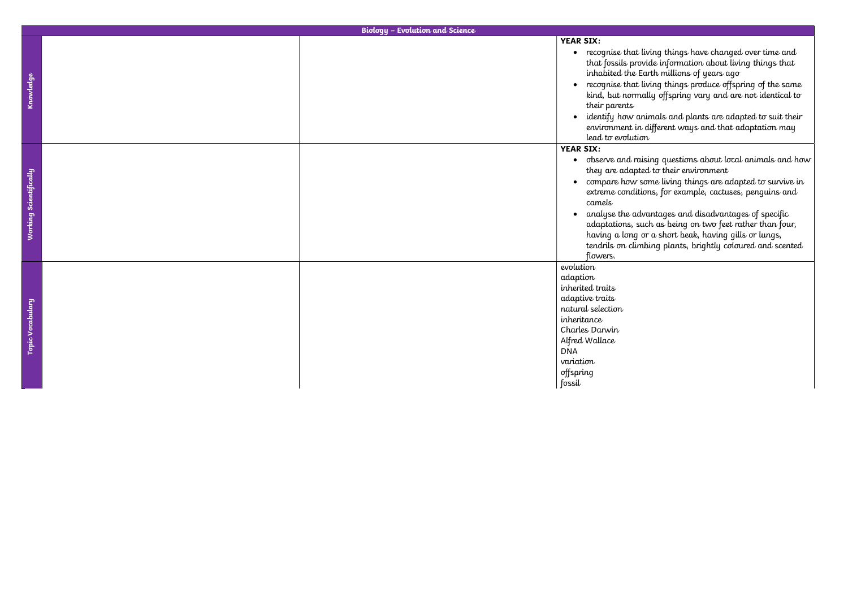• recognise that living things produce offspring of the same kind, but normally offspring vary and are not identical to

> animals and plants are adapted to suit their in different ways and that adaptation may ion

raising questions about local animals and how ted to their environment

-some living things are adapted to survive in itions, for example, cactuses, penguins and

dvantages and disadvantages of specific such as being on two feet rather than four, having a long or a short beak, having gills or lungs, mbing plants, brightly coloured and scented

| <b>Biology - Evolution and Science</b> |                                                                                                                                                                                        |
|----------------------------------------|----------------------------------------------------------------------------------------------------------------------------------------------------------------------------------------|
|                                        | <b>YEAR SIX:</b>                                                                                                                                                                       |
|                                        | • recognise that<br>that fossils pr<br>inhabited the<br>recognise that<br>$\bullet$<br>kind, but norn<br>their parents<br>identify how o<br>environment i<br>lead to evolut            |
|                                        | <b>YEAR SIX:</b>                                                                                                                                                                       |
|                                        | observe and r<br>$\bullet$<br>they are adap<br>• compare how<br>extreme condi<br>camels<br>analyse the a<br>adaptations, s<br>having a long<br>tendrils on clu<br>flowers.             |
|                                        | evolution<br>adaption<br>inherited traits<br>adaptive traits<br>natural selection<br>inheritance<br>Charles Darwin<br>Alfred Wallace<br><b>DNA</b><br>variation<br>offspring<br>fossil |
|                                        |                                                                                                                                                                                        |

t living things have changed over time and rovide information about living things that  $\iota$  Earth millions of years ago  $\bar{c}$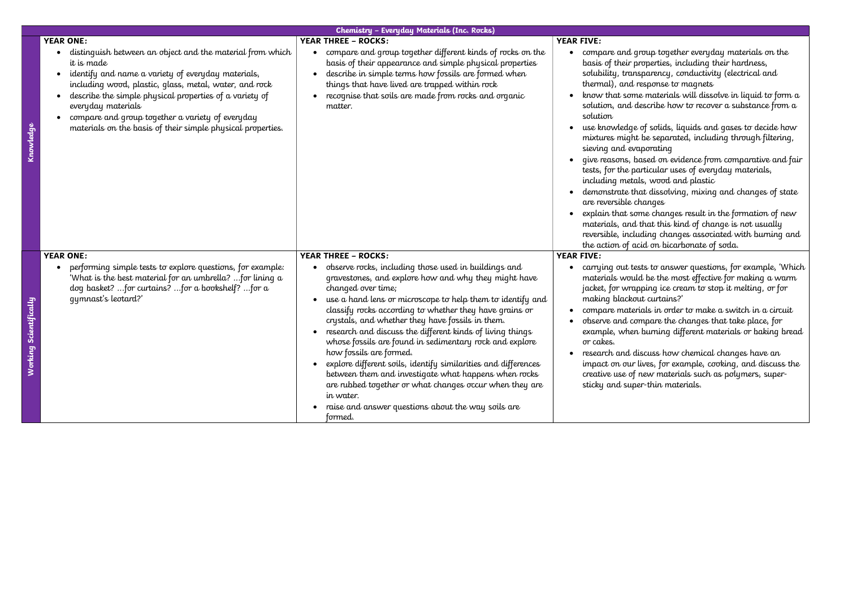Knowledge

|                                                                                                                                                                                                                                                                                                                                                                                                                 | Chemistry - Everyday Materials (Inc. Rocks)                                                                                                                                                                                                                                                                                                                                                                                                                                                                                                                                                                                                                                                                                                                                                                |                                                                                                                                                                                                                                                                                                                                                                                                                  |
|-----------------------------------------------------------------------------------------------------------------------------------------------------------------------------------------------------------------------------------------------------------------------------------------------------------------------------------------------------------------------------------------------------------------|------------------------------------------------------------------------------------------------------------------------------------------------------------------------------------------------------------------------------------------------------------------------------------------------------------------------------------------------------------------------------------------------------------------------------------------------------------------------------------------------------------------------------------------------------------------------------------------------------------------------------------------------------------------------------------------------------------------------------------------------------------------------------------------------------------|------------------------------------------------------------------------------------------------------------------------------------------------------------------------------------------------------------------------------------------------------------------------------------------------------------------------------------------------------------------------------------------------------------------|
| <b>YEAR ONE:</b><br>distinguish between an object and the material from which<br>it is made<br>identify and name a variety of everyday materials,<br>including wood, plastic, glass, metal, water, and rock<br>describe the simple physical properties of a variety of<br>everyday materials<br>compare and group together a variety of everyday<br>materials on the basis of their simple physical properties. | <b>YEAR THREE - ROCKS:</b><br>compare and group together different kinds of rocks on the<br>$\bullet$<br>basis of their appearance and simple physical properties<br>describe in simple terms how fossils are formed when<br>things that have lived are trapped within rock<br>recognise that soils are made from rocks and organic<br>matter.                                                                                                                                                                                                                                                                                                                                                                                                                                                             | <b>YEAR FIVE:</b><br>compare and gr<br>$\bullet$<br>basis of their pr<br>solubility, trans<br>thermal), and re<br>know that some<br>solution, and de<br>solution<br>use knowledge<br>mixtures might<br>sieving and eva<br>give reasons, bo<br>tests, for the part<br>including metals<br>demonstrate the<br>are reversible ch<br>explain that son<br>materials, and t<br>reversible, inclue<br>the action of act |
| <b>YEAR ONE:</b><br>performing simple tests to explore questions, for example:<br>'What is the best material for an umbrella?  for lining a<br>dog basket? for curtains? for a bookshelf? for a<br>qymnast's leotard?'                                                                                                                                                                                          | <b>YEAR THREE - ROCKS:</b><br>observe rocks, including those used in buildings and<br>$\bullet$<br>gravestones, and explore how and why they might have<br>changed over time;<br>use a hand lens or microscope to help them to identify and<br>$\bullet$<br>classify rocks according to whether they have grains or<br>crystals, and whether they have fossils in them.<br>research and discuss the different kinds of living things<br>whose fossils are found in sedimentary rock and explore<br>how fossils are formed.<br>explore different soils, identify similarities and differences<br>$\bullet$<br>between them and investigate what happens when rocks<br>are rubbed together or what changes occur when they are<br>in water.<br>raise and answer questions about the way soils are<br>formed. | <b>YEAR FIVE:</b><br>carrying out test<br>materials would<br>jacket, for wrap<br>making blackou<br>compare materia<br>observe and con<br>example, when<br>or cakes.<br>research and dis<br>impact on our li<br>creative use of n<br>sticky and super                                                                                                                                                             |

Working Scientifically

- roup together everyday materials on the roperties, including their hardness,
- sparency, conductivity (electrical and .<br>esponse to magnets
- e materials will dissolve in liquid to form a escribe how to recover a substance from a
- of solids, liquids and gases to decide how be separated, including through filtering, porating
- ased on evidence from comparative and fair  $r$ ticular uses of everyday materials,
- including metals, wood and plastic
- at dissolving, mixing and changes of state ranges
- me changes result in the formation of new that this kind of change is not usually ding changes associated with burning and id on bicarbonate of soda.
- sts to answer questions, for example, 'Which d be the most effective for making a warm  $p$ ing ice cream to stop it melting, or for t curtains?'
- ials in order to make a switch in a circuit npare the changes that take place, for burning different materials or baking bread
- scuss how chemical changes have an ives, for example, cooking, and discuss the rew materials such as polymers, superr-thin materials.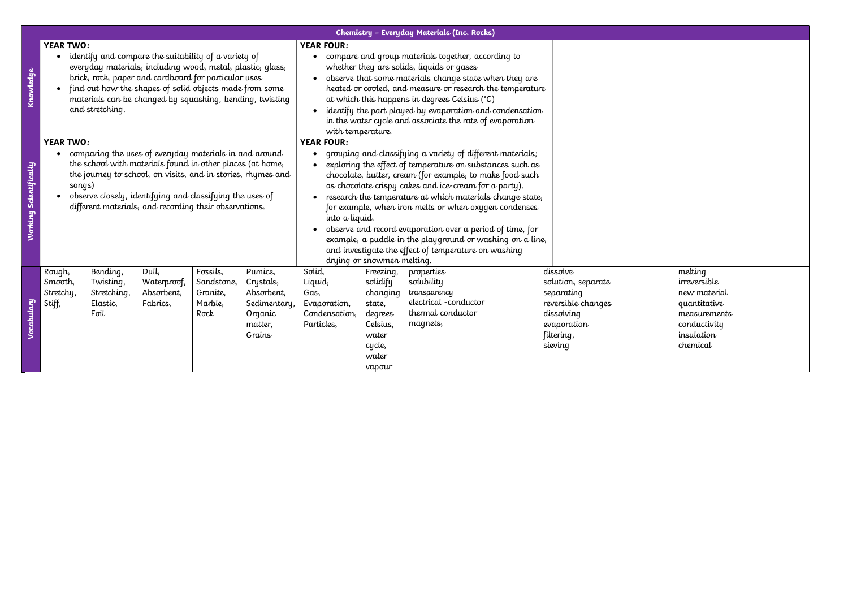|                        |                                          |                                                          |                                                                                                                                                                                                                                                                                                           |                                                       |                                                                                    | Chemistry - Everyday Materials (Inc. Rocks)                                                                                                                                                                                                                                                                                                                                                                                                                                                                                                                                                                                            |                                                                                                          |                                                                                                     |                                                                                                                          |  |
|------------------------|------------------------------------------|----------------------------------------------------------|-----------------------------------------------------------------------------------------------------------------------------------------------------------------------------------------------------------------------------------------------------------------------------------------------------------|-------------------------------------------------------|------------------------------------------------------------------------------------|----------------------------------------------------------------------------------------------------------------------------------------------------------------------------------------------------------------------------------------------------------------------------------------------------------------------------------------------------------------------------------------------------------------------------------------------------------------------------------------------------------------------------------------------------------------------------------------------------------------------------------------|----------------------------------------------------------------------------------------------------------|-----------------------------------------------------------------------------------------------------|--------------------------------------------------------------------------------------------------------------------------|--|
| Knowledge              | <b>YEAR TWO:</b>                         | and stretching.                                          | identify and compare the suitability of a variety of<br>everyday materials, including wood, metal, plastic, glass,<br>brick, rock, paper and cardboard for particular uses<br>find out how the shapes of solid objects made from some<br>materials can be changed by squashing, bending, twisting         |                                                       |                                                                                    | <b>YEAR FOUR:</b><br>compare and group materials together, according to<br>$\bullet$<br>whether they are solids, liquids or gases<br>observe that some materials change state when they are<br>heated or cooled, and measure or research the temperature<br>at which this happens in degrees Celsius (°C)<br>identify the part played by evaporation and condensation<br>in the water cycle and associate the rate of evaporation<br>with temperature.                                                                                                                                                                                 |                                                                                                          |                                                                                                     |                                                                                                                          |  |
| Working Scientifically | <b>YEAR TWO:</b><br>songs)               |                                                          | comparing the uses of everyday materials in and around<br>the school with materials found in other places (at home,<br>the journey to school, on visits, and in stories, rhymes and<br>observe closely, identifying and classifying the uses of<br>different materials, and recording their observations. |                                                       |                                                                                    | <b>YEAR FOUR:</b><br>grouping and classifying a variety of different materials;<br>$\bullet$<br>exploring the effect of temperature on substances such as<br>chocolate, butter, cream (for example, to make food such<br>as chocolate crispy cakes and ice-cream for a party).<br>research the temperature at which materials change state,<br>for example, when iron melts or when oxygen condenses<br>into a liquid.<br>observe and record evaporation over a period of time, for<br>example, a puddle in the playground or washing on a line,<br>and investigate the effect of temperature on washing<br>drying or snowmen melting. |                                                                                                          |                                                                                                     |                                                                                                                          |  |
| Vocabulary             | Rough,<br>Smooth,<br>Stretchy,<br>Stiff, | Bending,<br>Twisting,<br>Stretching,<br>Elastic,<br>Foil | Dull,<br>Waterproof,<br>Absorbent,<br>Fabrics,                                                                                                                                                                                                                                                            | Fossils,<br>Sandstone,<br>Granite,<br>Marble,<br>Rock | Pumice,<br>Crystals,<br>Absorbent,<br>Sedimentary,<br>Organic<br>matter,<br>Grains | Solid,<br>Liquid,<br>Gas,<br>Evaporation,<br>Condensation,<br>Particles,                                                                                                                                                                                                                                                                                                                                                                                                                                                                                                                                                               | Freezing,<br>solidify<br>changing<br>state,<br>degrees<br>Celsius,<br>water<br>cycle,<br>water<br>vapour | properties<br>solubility<br>transparency<br>electrical - conductor<br>thermal conductor<br>magnets, | dissolve<br>solution, separate<br>separating<br>reversible changes<br>dissolving<br>evaporation<br>filtering,<br>sieving |  |

melting irreversible new material quantitative measurements conductivity insulation chemical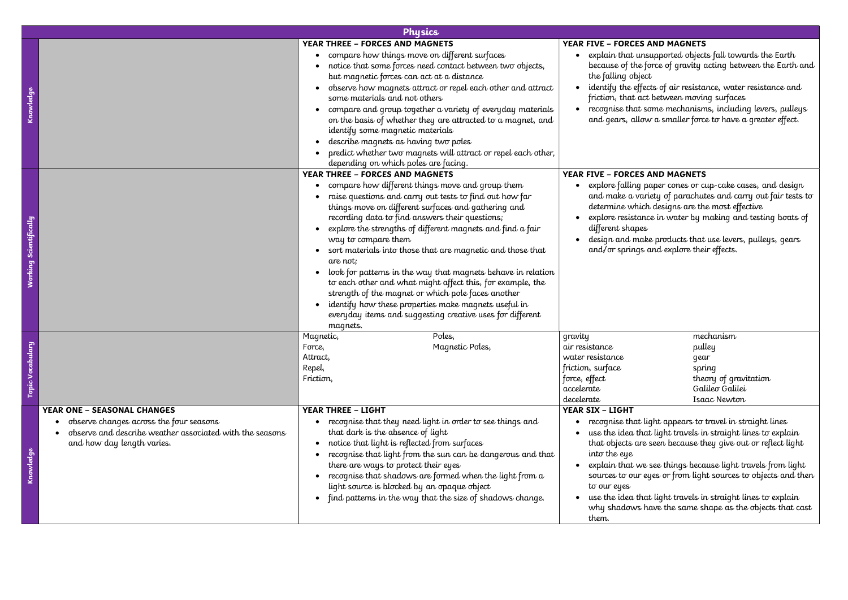|  | Physics                                                                                                                           |                     |                                                                                                                                                                                                                                                                                                                                                                                                                                                                                                                                                                                                                                                                                               |            |                                                                                                                 |                                                                                                                                                                                                                                                                                                                                                                                                                                                        |  |  |  |
|--|-----------------------------------------------------------------------------------------------------------------------------------|---------------------|-----------------------------------------------------------------------------------------------------------------------------------------------------------------------------------------------------------------------------------------------------------------------------------------------------------------------------------------------------------------------------------------------------------------------------------------------------------------------------------------------------------------------------------------------------------------------------------------------------------------------------------------------------------------------------------------------|------------|-----------------------------------------------------------------------------------------------------------------|--------------------------------------------------------------------------------------------------------------------------------------------------------------------------------------------------------------------------------------------------------------------------------------------------------------------------------------------------------------------------------------------------------------------------------------------------------|--|--|--|
|  |                                                                                                                                   |                     | <b>YEAR THREE - FORCES AND MAGNETS</b>                                                                                                                                                                                                                                                                                                                                                                                                                                                                                                                                                                                                                                                        |            | <b>YEAR FIVE - FORCES AND MAGNETS</b>                                                                           |                                                                                                                                                                                                                                                                                                                                                                                                                                                        |  |  |  |
|  |                                                                                                                                   |                     | compare how things move on different surfaces                                                                                                                                                                                                                                                                                                                                                                                                                                                                                                                                                                                                                                                 |            |                                                                                                                 | • explain that unsupported objects fall towards the Earth                                                                                                                                                                                                                                                                                                                                                                                              |  |  |  |
|  |                                                                                                                                   |                     | notice that some forces need contact between two objects,                                                                                                                                                                                                                                                                                                                                                                                                                                                                                                                                                                                                                                     |            |                                                                                                                 | because of the force of gravity acting between the Earth and                                                                                                                                                                                                                                                                                                                                                                                           |  |  |  |
|  |                                                                                                                                   |                     | but magnetic forces can act at a distance                                                                                                                                                                                                                                                                                                                                                                                                                                                                                                                                                                                                                                                     |            | the falling object                                                                                              |                                                                                                                                                                                                                                                                                                                                                                                                                                                        |  |  |  |
|  |                                                                                                                                   |                     | observe how magnets attract or repel each other and attract<br>some materials and not others                                                                                                                                                                                                                                                                                                                                                                                                                                                                                                                                                                                                  |            | friction, that act between moving surfaces                                                                      | identify the effects of air resistance, water resistance and                                                                                                                                                                                                                                                                                                                                                                                           |  |  |  |
|  |                                                                                                                                   |                     | compare and group together a variety of everyday materials<br>on the basis of whether they are attracted to a magnet, and<br>identify some magnetic materials<br>describe magnets as having two poles                                                                                                                                                                                                                                                                                                                                                                                                                                                                                         |            |                                                                                                                 | • recognise that some mechanisms, including levers, pulleys<br>and gears, allow a smaller force to have a greater effect.                                                                                                                                                                                                                                                                                                                              |  |  |  |
|  |                                                                                                                                   |                     | predict whether two magnets will attract or repel each other,                                                                                                                                                                                                                                                                                                                                                                                                                                                                                                                                                                                                                                 |            |                                                                                                                 |                                                                                                                                                                                                                                                                                                                                                                                                                                                        |  |  |  |
|  |                                                                                                                                   |                     | depending on which poles are facing.                                                                                                                                                                                                                                                                                                                                                                                                                                                                                                                                                                                                                                                          |            |                                                                                                                 |                                                                                                                                                                                                                                                                                                                                                                                                                                                        |  |  |  |
|  |                                                                                                                                   |                     | <b>YEAR THREE - FORCES AND MAGNETS</b>                                                                                                                                                                                                                                                                                                                                                                                                                                                                                                                                                                                                                                                        |            | YEAR FIVE - FORCES AND MAGNETS                                                                                  |                                                                                                                                                                                                                                                                                                                                                                                                                                                        |  |  |  |
|  |                                                                                                                                   |                     | compare how different things move and group them<br>raise questions and carry out tests to find out how far<br>things move on different surfaces and gathering and<br>recording data to find answers their questions;<br>explore the strengths of different magnets and find a fair<br>way to compare them<br>sort materials into those that are magnetic and those that<br>are not;<br>look for patterns in the way that magnets behave in relation<br>to each other and what might affect this, for example, the<br>strength of the magnet or which pole faces another<br>identify how these properties make magnets useful in<br>everyday items and suggesting creative uses for different |            | determine which designs are the most effective<br>different shapes<br>and/or springs and explore their effects. | • explore falling paper cones or cup-cake cases, and design<br>and make a variety of parachutes and carry out fair tests to<br>explore resistance in water by making and testing boats of<br>design and make products that use levers, pulleys, gears                                                                                                                                                                                                  |  |  |  |
|  |                                                                                                                                   |                     | magnets.                                                                                                                                                                                                                                                                                                                                                                                                                                                                                                                                                                                                                                                                                      |            |                                                                                                                 |                                                                                                                                                                                                                                                                                                                                                                                                                                                        |  |  |  |
|  |                                                                                                                                   | Magnetic,<br>Force, | Poles,<br>Magnetic Poles,                                                                                                                                                                                                                                                                                                                                                                                                                                                                                                                                                                                                                                                                     | gravity    | air resistance                                                                                                  | mechanism<br>pulley                                                                                                                                                                                                                                                                                                                                                                                                                                    |  |  |  |
|  |                                                                                                                                   | Attract,            |                                                                                                                                                                                                                                                                                                                                                                                                                                                                                                                                                                                                                                                                                               |            | water resistance                                                                                                | gear                                                                                                                                                                                                                                                                                                                                                                                                                                                   |  |  |  |
|  |                                                                                                                                   | Repel,              |                                                                                                                                                                                                                                                                                                                                                                                                                                                                                                                                                                                                                                                                                               |            | friction, surface                                                                                               | spring                                                                                                                                                                                                                                                                                                                                                                                                                                                 |  |  |  |
|  |                                                                                                                                   | Friction,           |                                                                                                                                                                                                                                                                                                                                                                                                                                                                                                                                                                                                                                                                                               |            | force, effect                                                                                                   | theory of gravitation                                                                                                                                                                                                                                                                                                                                                                                                                                  |  |  |  |
|  |                                                                                                                                   |                     |                                                                                                                                                                                                                                                                                                                                                                                                                                                                                                                                                                                                                                                                                               | accelerate |                                                                                                                 | Galileo Galilei                                                                                                                                                                                                                                                                                                                                                                                                                                        |  |  |  |
|  |                                                                                                                                   |                     |                                                                                                                                                                                                                                                                                                                                                                                                                                                                                                                                                                                                                                                                                               | decelerate |                                                                                                                 | Isaac Newton                                                                                                                                                                                                                                                                                                                                                                                                                                           |  |  |  |
|  | <b>YEAR ONE - SEASONAL CHANGES</b>                                                                                                |                     | <b>YEAR THREE - LIGHT</b>                                                                                                                                                                                                                                                                                                                                                                                                                                                                                                                                                                                                                                                                     |            | <b>YEAR SIX - LIGHT</b>                                                                                         |                                                                                                                                                                                                                                                                                                                                                                                                                                                        |  |  |  |
|  | observe changes across the four seasons<br>observe and describe weather associated with the seasons<br>and how day length varies. |                     | recognise that they need light in order to see things and<br>that dark is the absence of light<br>notice that light is reflected from surfaces<br>recognise that light from the sun can be dangerous and that<br>there are ways to protect their eyes<br>recognise that shadows are formed when the light from a<br>light source is blocked by an opaque object<br>find patterns in the way that the size of shadows change.                                                                                                                                                                                                                                                                  |            | into the eye<br>to our eyes<br>them.                                                                            | • recognise that light appears to travel in straight lines<br>use the idea that light travels in straight lines to explain<br>that objects are seen because they give out or reflect light<br>explain that we see things because light travels from light<br>sources to our eyes or from light sources to objects and then<br>use the idea that light travels in straight lines to explain<br>why shadows have the same shape as the objects that cast |  |  |  |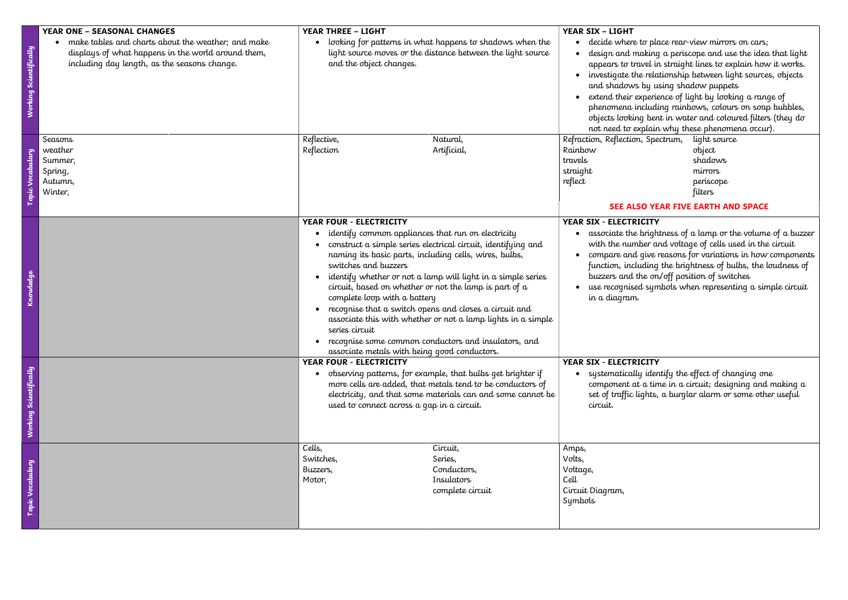| Working Scientifically | <b>YEAR ONE - SEASONAL CHANGES</b><br>make tables and charts about the weather; and make<br>displays of what happens in the world around them,<br>including day length, as the seasons change. | <b>YEAR THREE - LIGHT</b><br>and the object changes.                                                                                                                                                                                                              | looking for patterns in what happens to shadows when the<br>light source moves or the distance between the light source                                                                                                                                                                                                                                                          | <b>YEAR SIX - LIGHT</b><br>decide where to place rear-view mirrors on cars;<br>and shadows by using shadow puppets<br>• extend their experience of light by looking a range of<br>not need to explain why these phenomena occur). | design and making a periscope and use the idea that light<br>appears to travel in straight lines to explain how it works.<br>• investigate the relationship between light sources, objects<br>phenomena including rainbows, colours on soap bubbles,<br>objects looking bent in water and coloured filters (they do      |
|------------------------|------------------------------------------------------------------------------------------------------------------------------------------------------------------------------------------------|-------------------------------------------------------------------------------------------------------------------------------------------------------------------------------------------------------------------------------------------------------------------|----------------------------------------------------------------------------------------------------------------------------------------------------------------------------------------------------------------------------------------------------------------------------------------------------------------------------------------------------------------------------------|-----------------------------------------------------------------------------------------------------------------------------------------------------------------------------------------------------------------------------------|--------------------------------------------------------------------------------------------------------------------------------------------------------------------------------------------------------------------------------------------------------------------------------------------------------------------------|
| opic V                 | Seasons<br>weather<br>Summer,<br>Spring,<br>Autumn,<br>Winter,                                                                                                                                 | Reflective,<br>Reflection                                                                                                                                                                                                                                         | Natural,<br>Artificial,                                                                                                                                                                                                                                                                                                                                                          | Refraction, Reflection, Spectrum,<br>Rainbow<br>travels<br>straight<br>reflect                                                                                                                                                    | light source<br>object<br>shadows<br>mirrors<br>periscope<br>filters<br>SEE ALSO YEAR FIVE EARTH AND SPACE                                                                                                                                                                                                               |
| Knowledge              |                                                                                                                                                                                                | YEAR FOUR - ELECTRICITY<br>identify common appliances that run on electricity<br>naming its basic parts, including cells, wires, bulbs,<br>switches and buzzers<br>complete loop with a battery<br>series circuit<br>associate metals with being good conductors. | construct a simple series electrical circuit, identifying and<br>identify whether or not a lamp will light in a simple series<br>circuit, based on whether or not the lamp is part of $\alpha$<br>recognise that a switch opens and closes a circuit and<br>associate this with whether or not a lamp lights in a simple<br>recognise some common conductors and insulators, and | YEAR SIX - ELECTRICITY<br>buzzers and the on/off position of switches<br>in a diagram.                                                                                                                                            | • associate the brightness of a lamp or the volume of a buzzer<br>with the number and voltage of cells used in the circuit<br>• compare and give reasons for variations in how components<br>function, including the brightness of bulbs, the loudness of<br>• use recognised symbols when representing a simple circuit |
| Working Scientifically |                                                                                                                                                                                                | YEAR FOUR - ELECTRICITY<br>used to connect across a gap in a circuit.                                                                                                                                                                                             | observing patterns, for example, that bulbs get brighter if<br>more cells are added, that metals tend to be conductors of<br>electricity, and that some materials can and some cannot be                                                                                                                                                                                         | YEAR SIX - ELECTRICITY<br>$\bullet$ systematically identify the effect of changing one<br>circuit.                                                                                                                                | component at a time in a circuit; designing and making a<br>set of traffic lights, a burglar alarm or some other useful                                                                                                                                                                                                  |
| Topic Vocabulary       |                                                                                                                                                                                                | Cells,<br>Switches,<br>Buzzers,<br>Motor,                                                                                                                                                                                                                         | Circuit,<br>Series,<br>Conductors,<br>Insulators<br>complete circuit                                                                                                                                                                                                                                                                                                             | Amps,<br>Volts,<br>Voltage,<br>Cell<br>Circuit Diagram,<br>Symbols                                                                                                                                                                |                                                                                                                                                                                                                                                                                                                          |